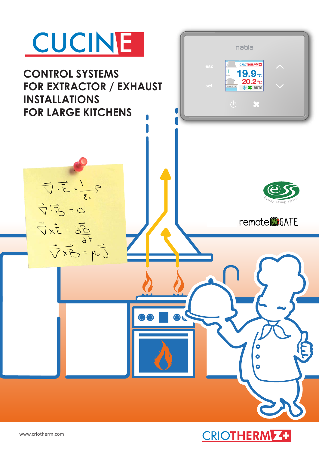

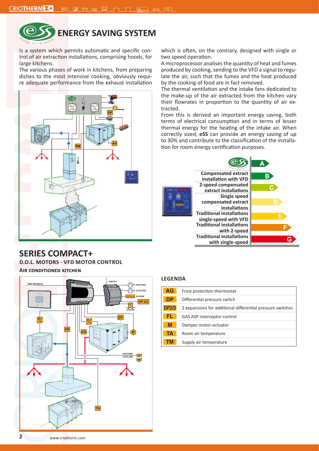

# **ENERGY SAVING SYSTEM**

Is a system which permits automatic and specific control of air extraction installations, comprising hoods, for large kitchens.

The various phases of work in kitchens, from preparing dishes to the most intensive cooking, obviously require adequate performance from the exhaust installation



**SERIES COMPACT+** 

**D.O.L. MOTORS - VFD MOTOR CONTROL Air conditioned kitchen**

**DP M EVGAS P. HEATING P. COOLING ON/OFF BMS MODBUS ALARM HEATING DP 2/3 COOLING TA AG DP**

which is often, on the contrary, designed with single or two speed operation.

A microprocessor analises the quantity of heat and fumes produced by cooking, sending to the VFD a signal to regulate the air, such that the fumes and the heat produced by the cooking of food are in fact removed.

The thermal ventilation and the intake fans dedicated to the make-up of the air extracted from the kitchen vary their flowrates in proportion to the quantity of air extracted.

From this is derived an important energy saving, both terms of electrical consumption and in terms of lesser thermal energy for the heating of the intake air. When correctly sized, **eSS** can provide an energy saving of up to 30% and contribute to the classification of the installation for room energy certification purposes.



## **LEGENDA**

| AG           | Frost protection thermostat                                |
|--------------|------------------------------------------------------------|
| DP           | Differential pressure switch                               |
| <b>DP2/3</b> | 2 expansions for additional differential pressure switches |
| FI.          | GAS ASP interceptor control                                |
| M            | Damper motor-actuator                                      |
| ГΔ           | Room air temperature                                       |
|              | Supply air temperature                                     |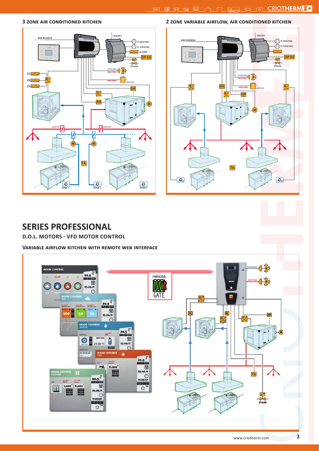### **3 zone air conditioned kitchen**





# **SERIES PROFESSIONAL**

## **D.O.L. MOTORS - VFD MOTOR CONTROL**

#### **Variable airflow kitchen with remote web interface**